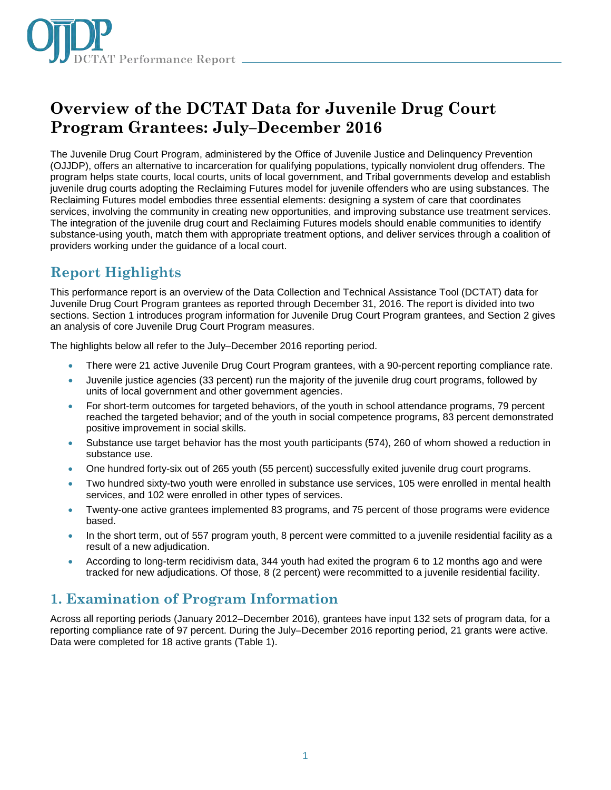

# **Overview of the DCTAT Data for Juvenile Drug Court Program Grantees: July–December 2016**

The Juvenile Drug Court Program, administered by the Office of Juvenile Justice and Delinquency Prevention (OJJDP), offers an alternative to incarceration for qualifying populations, typically nonviolent drug offenders. The program helps state courts, local courts, units of local government, and Tribal governments develop and establish juvenile drug courts adopting the Reclaiming Futures model for juvenile offenders who are using substances. The Reclaiming Futures model embodies three essential elements: designing a system of care that coordinates services, involving the community in creating new opportunities, and improving substance use treatment services. The integration of the juvenile drug court and Reclaiming Futures models should enable communities to identify substance-using youth, match them with appropriate treatment options, and deliver services through a coalition of providers working under the guidance of a local court.

## **Report Highlights**

This performance report is an overview of the Data Collection and Technical Assistance Tool (DCTAT) data for Juvenile Drug Court Program grantees as reported through December 31, 2016. The report is divided into two sections. Section 1 introduces program information for Juvenile Drug Court Program grantees, and Section 2 gives an analysis of core Juvenile Drug Court Program measures.

The highlights below all refer to the July–December 2016 reporting period.

- There were 21 active Juvenile Drug Court Program grantees, with a 90-percent reporting compliance rate.
- Juvenile justice agencies (33 percent) run the majority of the juvenile drug court programs, followed by units of local government and other government agencies.
- For short-term outcomes for targeted behaviors, of the youth in school attendance programs, 79 percent reached the targeted behavior; and of the youth in social competence programs, 83 percent demonstrated positive improvement in social skills.
- Substance use target behavior has the most youth participants (574), 260 of whom showed a reduction in substance use.
- One hundred forty-six out of 265 youth (55 percent) successfully exited juvenile drug court programs.
- Two hundred sixty-two youth were enrolled in substance use services, 105 were enrolled in mental health services, and 102 were enrolled in other types of services.
- Twenty-one active grantees implemented 83 programs, and 75 percent of those programs were evidence based.
- In the short term, out of 557 program youth, 8 percent were committed to a juvenile residential facility as a result of a new adjudication.
- According to long-term recidivism data, 344 youth had exited the program 6 to 12 months ago and were tracked for new adjudications. Of those, 8 (2 percent) were recommitted to a juvenile residential facility.

## **1. Examination of Program Information**

Across all reporting periods (January 2012–December 2016), grantees have input 132 sets of program data, for a reporting compliance rate of 97 percent. During the July–December 2016 reporting period, 21 grants were active. Data were completed for 18 active grants (Table 1).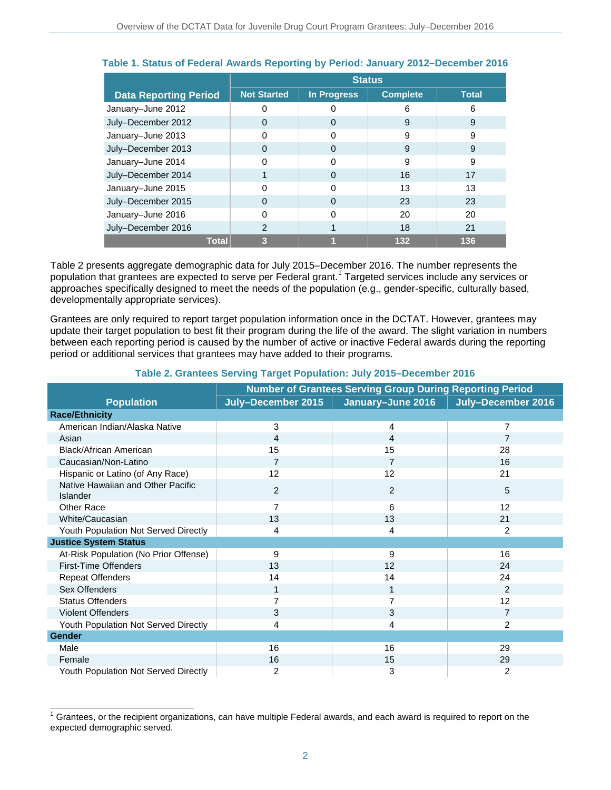|                              | <b>Status</b>      |                    |                 |              |  |
|------------------------------|--------------------|--------------------|-----------------|--------------|--|
| <b>Data Reporting Period</b> | <b>Not Started</b> | <b>In Progress</b> | <b>Complete</b> | <b>Total</b> |  |
| January-June 2012            | ი                  | Ω                  | 6               | 6            |  |
| July-December 2012           | 0                  | 0                  | 9               | 9            |  |
| January-June 2013            | ი                  | 0                  | 9               | 9            |  |
| July-December 2013           | 0                  | 0                  | 9               | 9            |  |
| January-June 2014            |                    |                    | 9               | 9            |  |
| July-December 2014           |                    | 0                  | 16              | 17           |  |
| January-June 2015            |                    | O                  | 13              | 13           |  |
| July-December 2015           | 0                  | 0                  | 23              | 23           |  |
| January-June 2016            | n                  | 0                  | 20              | 20           |  |
| July-December 2016           | 2                  |                    | 18              | 21           |  |
| <b>Total</b>                 | 3                  |                    | 132             | 136          |  |

### **Table 1. Status of Federal Awards Reporting by Period: January 2012–December 2016**

Table 2 presents aggregate demographic data for July 2015–December 2016. The number represents the population that grantees are expected to serve per Federal grant.<sup>1</sup> Targeted services include any services or approaches specifically designed to meet the needs of the population (e.g., gender-specific, culturally based, developmentally appropriate services).

Grantees are only required to report target population information once in the DCTAT. However, grantees may update their target population to best fit their program during the life of the award. The slight variation in numbers between each reporting period is caused by the number of active or inactive Federal awards during the reporting period or additional services that grantees may have added to their programs.

|                                               | <b>Number of Grantees Serving Group During Reporting Period</b> |                   |                    |  |  |
|-----------------------------------------------|-----------------------------------------------------------------|-------------------|--------------------|--|--|
| <b>Population</b>                             | July-December 2015                                              | January-June 2016 | July-December 2016 |  |  |
| <b>Race/Ethnicity</b>                         |                                                                 |                   |                    |  |  |
| American Indian/Alaska Native                 | 3                                                               | 4                 | 7                  |  |  |
| Asian                                         | 4                                                               | 4                 | 7                  |  |  |
| Black/African American                        | 15                                                              | 15                | 28                 |  |  |
| Caucasian/Non-Latino                          | 7                                                               | 7                 | 16                 |  |  |
| Hispanic or Latino (of Any Race)              | 12                                                              | 12                | 21                 |  |  |
| Native Hawaiian and Other Pacific<br>Islander | 2                                                               | 2                 | 5                  |  |  |
| <b>Other Race</b>                             | $\overline{7}$                                                  | 6                 | 12                 |  |  |
| White/Caucasian                               | 13                                                              | 13                | 21                 |  |  |
| Youth Population Not Served Directly          | 4                                                               | 4                 | $\overline{2}$     |  |  |
| <b>Justice System Status</b>                  |                                                                 |                   |                    |  |  |
| At-Risk Population (No Prior Offense)         | 9                                                               | 9                 | 16                 |  |  |
| <b>First-Time Offenders</b>                   | 13                                                              | 12                | 24                 |  |  |
| <b>Repeat Offenders</b>                       | 14                                                              | 14                | 24                 |  |  |
| Sex Offenders                                 | 1                                                               | $\mathbf 1$       | $\mathfrak{p}$     |  |  |
| <b>Status Offenders</b>                       |                                                                 | 7                 | 12                 |  |  |
| <b>Violent Offenders</b>                      | 3                                                               | 3                 | $\overline{7}$     |  |  |
| Youth Population Not Served Directly          | 4                                                               | 4                 | $\overline{c}$     |  |  |
| <b>Gender</b>                                 |                                                                 |                   |                    |  |  |
| Male                                          | 16                                                              | 16                | 29                 |  |  |
| Female                                        | 16                                                              | 15                | 29                 |  |  |
| Youth Population Not Served Directly          | 2                                                               | 3                 | 2                  |  |  |

#### **Table 2. Grantees Serving Target Population: July 2015–December 2016**

<sup>1</sup> Grantees, or the recipient organizations, can have multiple Federal awards, and each award is required to report on the expected demographic served.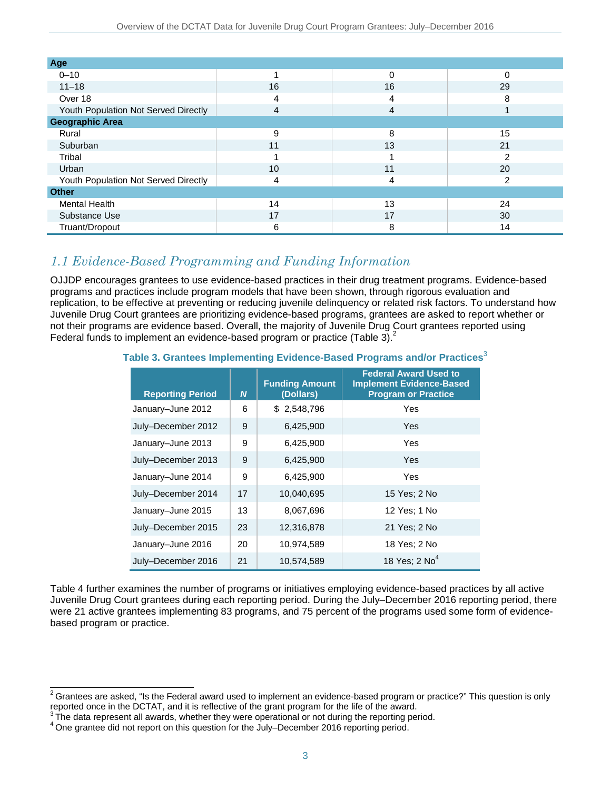| Age                                  |    |    |                |
|--------------------------------------|----|----|----------------|
| $0 - 10$                             |    | 0  | 0              |
| $11 - 18$                            | 16 | 16 | 29             |
| Over 18                              | 4  | 4  | 8              |
| Youth Population Not Served Directly | 4  | 4  |                |
| <b>Geographic Area</b>               |    |    |                |
| Rural                                | 9  | 8  | 15             |
| Suburban                             | 11 | 13 | 21             |
| Tribal                               |    |    | っ              |
| Urban                                | 10 | 11 | 20             |
| Youth Population Not Served Directly | 4  | 4  | $\overline{2}$ |
| <b>Other</b>                         |    |    |                |
| Mental Health                        | 14 | 13 | 24             |
| Substance Use                        | 17 | 17 | 30             |
| Truant/Dropout                       | 6  | 8  | 14             |

### *1.1 Evidence-Based Programming and Funding Information*

OJJDP encourages grantees to use evidence-based practices in their drug treatment programs. Evidence-based programs and practices include program models that have been shown, through rigorous evaluation and replication, to be effective at preventing or reducing juvenile delinquency or related risk factors. To understand how Juvenile Drug Court grantees are prioritizing evidence-based programs, grantees are asked to report whether or not their programs are evidence based. Overall, the majority of Juvenile Drug Court grantees reported using Federal funds to implement an evidence-based program or practice (Table 3). $^{2}$ 

|                         |                  | <b>Funding Amount</b> | <b>Federal Award Used to</b><br><b>Implement Evidence-Based</b> |
|-------------------------|------------------|-----------------------|-----------------------------------------------------------------|
| <b>Reporting Period</b> | $\boldsymbol{N}$ | (Dollars)             | <b>Program or Practice</b>                                      |
| January-June 2012       | 6                | \$2,548,796           | Yes                                                             |
| July-December 2012      | 9                | 6,425,900             | Yes                                                             |
| January-June 2013       | 9                | 6,425,900             | Yes                                                             |
| July-December 2013      | 9                | 6,425,900             | Yes                                                             |
| January-June 2014       | 9                | 6,425,900             | Yes                                                             |
| July-December 2014      | 17               | 10,040,695            | 15 Yes; 2 No                                                    |
| January-June 2015       | 13               | 8,067,696             | 12 Yes; 1 No                                                    |
| July-December 2015      | 23               | 12,316,878            | 21 Yes; 2 No                                                    |
| January-June 2016       | 20               | 10,974,589            | 18 Yes; 2 No                                                    |
| July-December 2016      | 21               | 10,574,589            | 18 Yes; $2$ No <sup>4</sup>                                     |

### **Table 3. Grantees Implementing Evidence-Based Programs and/or Practices**<sup>3</sup>

Table 4 further examines the number of programs or initiatives employing evidence-based practices by all active Juvenile Drug Court grantees during each reporting period. During the July–December 2016 reporting period, there were 21 active grantees implementing 83 programs, and 75 percent of the programs used some form of evidencebased program or practice.

 $\overline{a}$  $^2$ Grantees are asked, "Is the Federal award used to implement an evidence-based program or practice?" This question is only reported once in the DCTAT, and it is reflective of the grant program for the life of the award.

 $3$  The data represent all awards, whether they were operational or not during the reporting period.

<sup>4</sup> One grantee did not report on this question for the July–December 2016 reporting period.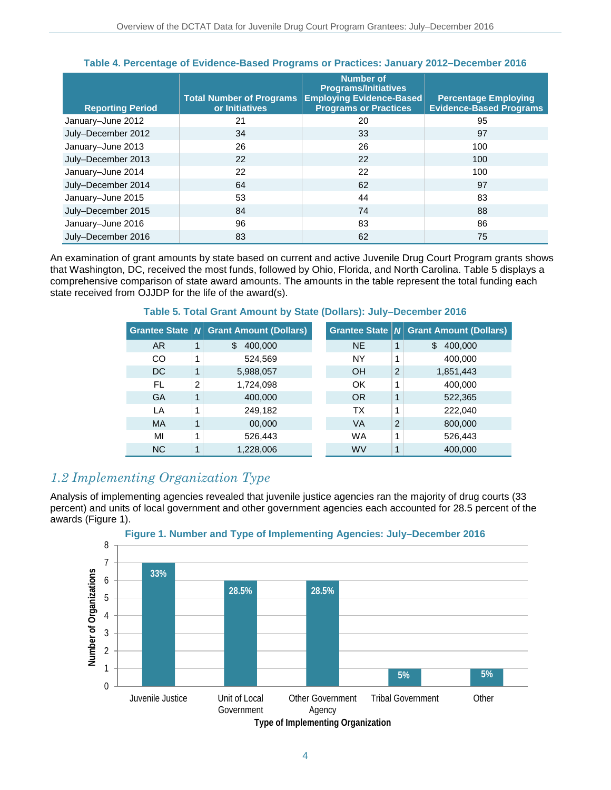| <b>Reporting Period</b> | <b>Total Number of Programs</b><br>or Initiatives | <b>Number of</b><br><b>Programs/Initiatives</b><br><b>Employing Evidence-Based</b><br><b>Programs or Practices</b> | <b>Percentage Employing</b><br><b>Evidence-Based Programs</b> |
|-------------------------|---------------------------------------------------|--------------------------------------------------------------------------------------------------------------------|---------------------------------------------------------------|
| January-June 2012       | 21                                                | 20                                                                                                                 | 95                                                            |
| July-December 2012      | 34                                                | 33                                                                                                                 | 97                                                            |
| January-June 2013       | 26                                                | 26                                                                                                                 | 100                                                           |
| July-December 2013      | 22                                                | 22                                                                                                                 | 100                                                           |
| January-June 2014       | 22                                                | 22                                                                                                                 | 100                                                           |
| July-December 2014      | 64                                                | 62                                                                                                                 | 97                                                            |
| January-June 2015       | 53                                                | 44                                                                                                                 | 83                                                            |
| July-December 2015      | 84                                                | 74                                                                                                                 | 88                                                            |
| January-June 2016       | 96                                                | 83                                                                                                                 | 86                                                            |
| July-December 2016      | 83                                                | 62                                                                                                                 | 75                                                            |

#### **Table 4. Percentage of Evidence-Based Programs or Practices: January 2012–December 2016**

An examination of grant amounts by state based on current and active Juvenile Drug Court Program grants shows that Washington, DC, received the most funds, followed by Ohio, Florida, and North Carolina. Table 5 displays a comprehensive comparison of state award amounts. The amounts in the table represent the total funding each state received from OJJDP for the life of the award(s).

|           |   | Grantee State   N Grant Amount (Dollars) |           |                | Grantee State   N Grant Amount (Dollars) |
|-----------|---|------------------------------------------|-----------|----------------|------------------------------------------|
| AR.       |   | 400,000                                  | <b>NE</b> |                | 400,000<br>\$.                           |
| CO        |   | 524,569                                  | NY        |                | 400,000                                  |
| <b>DC</b> |   | 5,988,057                                | OH        | $\overline{2}$ | 1,851,443                                |
| FL        | 2 | 1,724,098                                | ΟK        |                | 400,000                                  |
| GA        |   | 400,000                                  | ΟR        |                | 522,365                                  |

LA 1 249,182 TX 1 222,040 MA 1 00,000 VA 2 800,000 MI |1 | 526,443 WA |1 | 526,443 NC  $|1|$  1,228,006 WV  $|1|$  400,000

### **Table 5. Total Grant Amount by State (Dollars): July–December 2016**

### *1.2 Implementing Organization Type*

Analysis of implementing agencies revealed that juvenile justice agencies ran the majority of drug courts (33 percent) and units of local government and other government agencies each accounted for 28.5 percent of the awards (Figure 1).



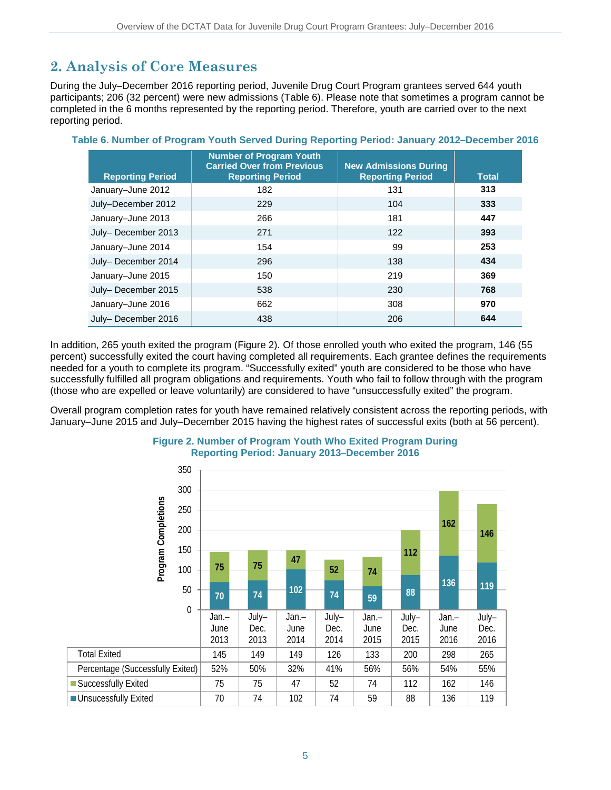## **2. Analysis of Core Measures**

During the July–December 2016 reporting period, Juvenile Drug Court Program grantees served 644 youth participants; 206 (32 percent) were new admissions (Table 6). Please note that sometimes a program cannot be completed in the 6 months represented by the reporting period. Therefore, youth are carried over to the next reporting period.

| <b>Reporting Period</b> | <b>Number of Program Youth</b><br><b>Carried Over from Previous</b><br><b>Reporting Period</b> | <b>New Admissions During</b><br><b>Reporting Period</b> | <b>Total</b> |
|-------------------------|------------------------------------------------------------------------------------------------|---------------------------------------------------------|--------------|
| January-June 2012       | 182                                                                                            | 131                                                     | 313          |
| July-December 2012      | 229                                                                                            | 104                                                     | 333          |
| January-June 2013       | 266                                                                                            | 181                                                     | 447          |
| July-December 2013      | 271                                                                                            | 122                                                     | 393          |
| January-June 2014       | 154                                                                                            | 99                                                      | 253          |
| July-December 2014      | 296                                                                                            | 138                                                     | 434          |
| January-June 2015       | 150                                                                                            | 219                                                     | 369          |
| July-December 2015      | 538                                                                                            | 230                                                     | 768          |
| January-June 2016       | 662                                                                                            | 308                                                     | 970          |
| July-December 2016      | 438                                                                                            | 206                                                     | 644          |

**Table 6. Number of Program Youth Served During Reporting Period: January 2012–December 2016** 

In addition, 265 youth exited the program (Figure 2). Of those enrolled youth who exited the program, 146 (55 percent) successfully exited the court having completed all requirements. Each grantee defines the requirements needed for a youth to complete its program. "Successfully exited" youth are considered to be those who have successfully fulfilled all program obligations and requirements. Youth who fail to follow through with the program (those who are expelled or leave voluntarily) are considered to have "unsuccessfully exited" the program.

Overall program completion rates for youth have remained relatively consistent across the reporting periods, with January–June 2015 and July–December 2015 having the highest rates of successful exits (both at 56 percent).



### **Figure 2. Number of Program Youth Who Exited Program During Reporting Period: January 2013–December 2016**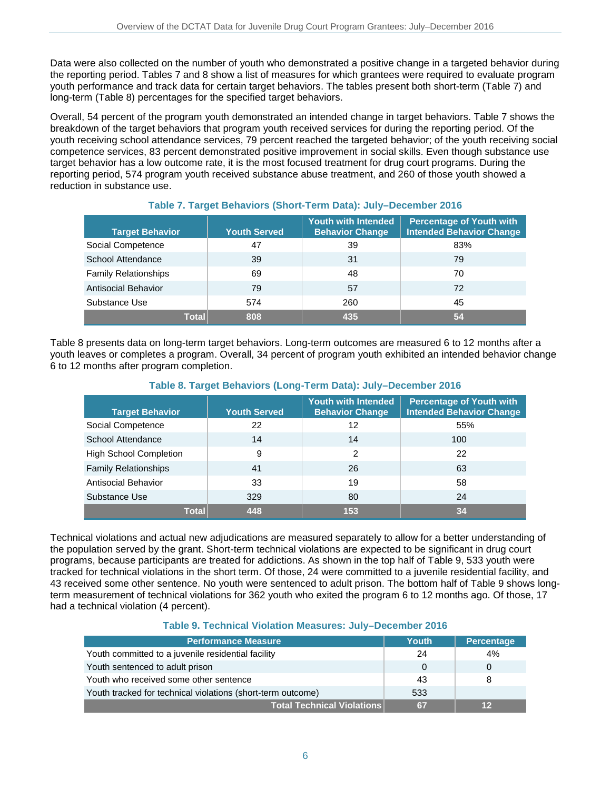Data were also collected on the number of youth who demonstrated a positive change in a targeted behavior during the reporting period. Tables 7 and 8 show a list of measures for which grantees were required to evaluate program youth performance and track data for certain target behaviors. The tables present both short-term (Table 7) and long-term (Table 8) percentages for the specified target behaviors.

Overall, 54 percent of the program youth demonstrated an intended change in target behaviors. Table 7 shows the breakdown of the target behaviors that program youth received services for during the reporting period. Of the youth receiving school attendance services, 79 percent reached the targeted behavior; of the youth receiving social competence services, 83 percent demonstrated positive improvement in social skills. Even though substance use target behavior has a low outcome rate, it is the most focused treatment for drug court programs. During the reporting period, 574 program youth received substance abuse treatment, and 260 of those youth showed a reduction in substance use.

| <b>Target Behavior</b>      | <b>Youth Served</b> | Youth with Intended<br><b>Behavior Change</b> | <b>Percentage of Youth with</b><br><b>Intended Behavior Change</b> |
|-----------------------------|---------------------|-----------------------------------------------|--------------------------------------------------------------------|
| Social Competence           | 47                  | 39                                            | 83%                                                                |
| School Attendance           | 39                  | 31                                            | 79                                                                 |
| <b>Family Relationships</b> | 69                  | 48                                            | 70                                                                 |
| Antisocial Behavior         | 79                  | 57                                            | 72                                                                 |
| Substance Use               | 574                 | 260                                           | 45                                                                 |
| Total                       | 808                 | 435                                           | 54                                                                 |

### **Table 7. Target Behaviors (Short-Term Data): July–December 2016**

Table 8 presents data on long-term target behaviors. Long-term outcomes are measured 6 to 12 months after a youth leaves or completes a program. Overall, 34 percent of program youth exhibited an intended behavior change 6 to 12 months after program completion.

| <b>Target Behavior</b>        | <b>Youth Served</b> | <b>Youth with Intended</b><br><b>Behavior Change</b> | <b>Percentage of Youth with</b><br><b>Intended Behavior Change</b> |  |
|-------------------------------|---------------------|------------------------------------------------------|--------------------------------------------------------------------|--|
| Social Competence             | 22                  | 12                                                   | 55%                                                                |  |
| School Attendance             | 14                  | 14                                                   | 100                                                                |  |
| <b>High School Completion</b> | 9                   | 2                                                    | 22                                                                 |  |
| <b>Family Relationships</b>   | 41                  | 26                                                   | 63                                                                 |  |
| <b>Antisocial Behavior</b>    | 33                  | 19                                                   | 58                                                                 |  |
| Substance Use                 | 329                 | 80                                                   | 24                                                                 |  |
| <b>Total</b>                  | 448                 | 153                                                  | 34                                                                 |  |

### **Table 8. Target Behaviors (Long-Term Data): July–December 2016**

Technical violations and actual new adjudications are measured separately to allow for a better understanding of the population served by the grant. Short-term technical violations are expected to be significant in drug court programs, because participants are treated for addictions. As shown in the top half of Table 9, 533 youth were tracked for technical violations in the short term. Of those, 24 were committed to a juvenile residential facility, and 43 received some other sentence. No youth were sentenced to adult prison. The bottom half of Table 9 shows longterm measurement of technical violations for 362 youth who exited the program 6 to 12 months ago. Of those, 17 had a technical violation (4 percent).

### **Table 9. Technical Violation Measures: July–December 2016**

| <b>Performance Measure</b>                                  | <b>Youth</b> | <b>Percentage</b> |
|-------------------------------------------------------------|--------------|-------------------|
| Youth committed to a juvenile residential facility          | 24           | 4%                |
| Youth sentenced to adult prison                             | 0            |                   |
| Youth who received some other sentence                      | 43           | -8                |
| Youth tracked for technical violations (short-term outcome) | 533          |                   |
| <b>Total Technical Violations</b>                           | 67           | 12                |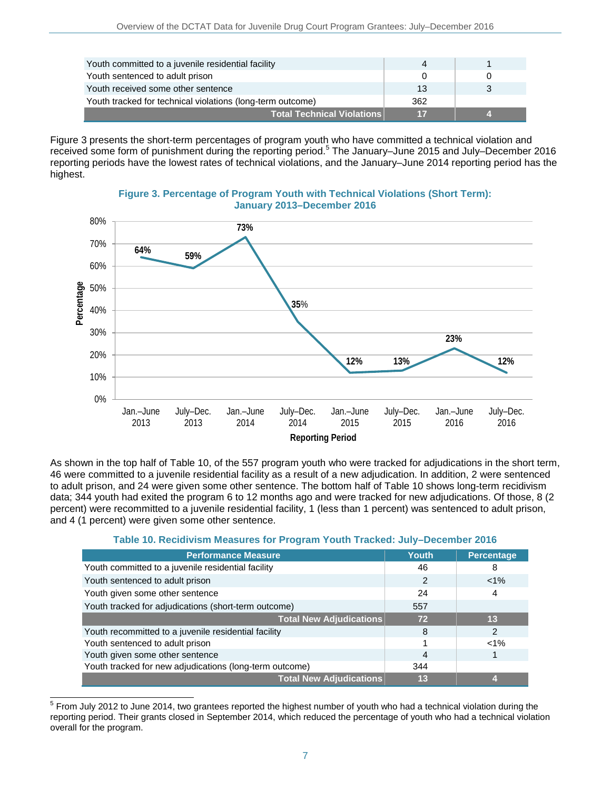| Youth committed to a juvenile residential facility         |     |  |
|------------------------------------------------------------|-----|--|
| Youth sentenced to adult prison                            |     |  |
| Youth received some other sentence                         | 13  |  |
| Youth tracked for technical violations (long-term outcome) | 362 |  |
| ∣Total Technical Violations <i>∖</i>                       |     |  |

Figure 3 presents the short-term percentages of program youth who have committed a technical violation and received some form of punishment during the reporting period.<sup>5</sup> The January-June 2015 and July-December 2016 reporting periods have the lowest rates of technical violations, and the January–June 2014 reporting period has the highest.



**Figure 3. Percentage of Program Youth with Technical Violations (Short Term): January 2013–December 2016** 

As shown in the top half of Table 10, of the 557 program youth who were tracked for adjudications in the short term, 46 were committed to a juvenile residential facility as a result of a new adjudication. In addition, 2 were sentenced to adult prison, and 24 were given some other sentence. The bottom half of Table 10 shows long-term recidivism data; 344 youth had exited the program 6 to 12 months ago and were tracked for new adjudications. Of those, 8 (2 percent) were recommitted to a juvenile residential facility, 1 (less than 1 percent) was sentenced to adult prison, and 4 (1 percent) were given some other sentence.

| Table 10. Recidivism Measures for Program Youth Tracked: July–December 2016 |  |
|-----------------------------------------------------------------------------|--|
|-----------------------------------------------------------------------------|--|

| <b>Performance Measure</b>                              | Youth | <b>Percentage</b> |
|---------------------------------------------------------|-------|-------------------|
| Youth committed to a juvenile residential facility      | 46    | 8                 |
| Youth sentenced to adult prison                         | 2     | $< 1\%$           |
| Youth given some other sentence                         | 24    |                   |
| Youth tracked for adjudications (short-term outcome)    | 557   |                   |
| <b>Total New Adjudications</b>                          | 72    | 13                |
| Youth recommitted to a juvenile residential facility    | 8     | 2                 |
| Youth sentenced to adult prison                         |       | $< 1\%$           |
| Youth given some other sentence                         | 4     |                   |
| Youth tracked for new adjudications (long-term outcome) | 344   |                   |
| <b>Total New Adjudications</b>                          | 13    |                   |

 $\overline{a}$  $5$  From July 2012 to June 2014, two grantees reported the highest number of youth who had a technical violation during the reporting period. Their grants closed in September 2014, which reduced the percentage of youth who had a technical violation overall for the program.